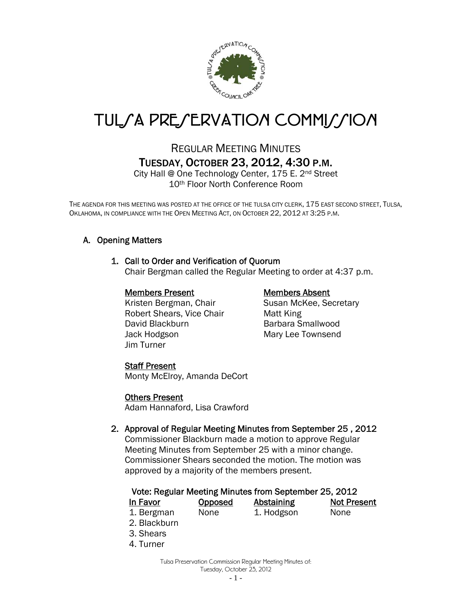

# TUL*SA PRESERVATION COMMISSION*

# REGULAR MEETING MINUTES TUESDAY, OCTOBER 23, 2012, 4:30 P.M.

City Hall @ One Technology Center, 175 E. 2nd Street 10th Floor North Conference Room

THE AGENDA FOR THIS MEETING WAS POSTED AT THE OFFICE OF THE TULSA CITY CLERK, 175 EAST SECOND STREET, TULSA, OKLAHOMA, IN COMPLIANCE WITH THE OPEN MEETING ACT, ON OCTOBER 22, 2012 AT 3:25 P.M.

# A. Opening Matters

#### 1. Call to Order and Verification of Quorum

Chair Bergman called the Regular Meeting to order at 4:37 p.m.

#### Members Present Members Absent

Kristen Bergman, Chair Susan McKee, Secretary Robert Shears, Vice Chair Matt King David Blackburn Barbara Smallwood Jack Hodgson Mary Lee Townsend Jim Turner

# Staff Present

Monty McElroy, Amanda DeCort

#### Others Present

Adam Hannaford, Lisa Crawford

# 2. Approval of Regular Meeting Minutes from September 25 , 2012

Commissioner Blackburn made a motion to approve Regular Meeting Minutes from September 25 with a minor change. Commissioner Shears seconded the motion. The motion was approved by a majority of the members present.

#### Vote: Regular Meeting Minutes from September 25, 2012

| In Favor   | <b>Opposed</b> | Abstaining | <b>Not Present</b> |
|------------|----------------|------------|--------------------|
| 1. Bergman | None           | 1. Hodgson | None               |

- 2. Blackburn
- 3. Shears
- 4. Turner

Tulsa Preservation Commission Regular Meeting Minutes of: Tuesday, October 23, 2012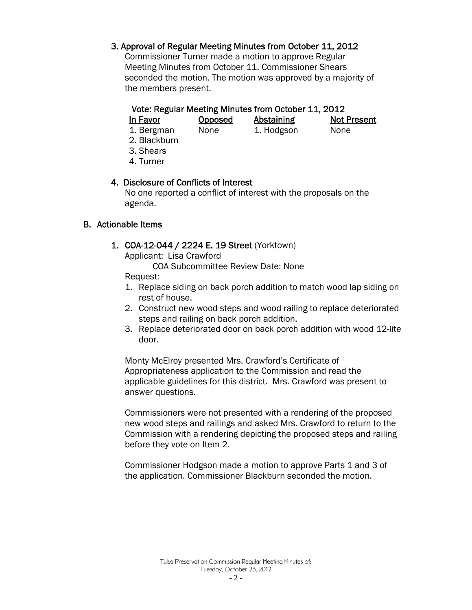# 3. Approval of Regular Meeting Minutes from October 11, 2012

Commissioner Turner made a motion to approve Regular Meeting Minutes from October 11. Commissioner Shears seconded the motion. The motion was approved by a majority of the members present.

#### Vote: Regular Meeting Minutes from October 11, 2012

| In Favor   | <b>Opposed</b> | Abstaining | <b>Not Present</b> |
|------------|----------------|------------|--------------------|
| 1. Bergman | None           | 1. Hodgson | <b>None</b>        |

- 2. Blackburn
- 3. Shears
- 4. Turner

# 4. Disclosure of Conflicts of Interest

 No one reported a conflict of interest with the proposals on the agenda.

#### B. Actionable Items

1. COA-12-044 / 2224 E. 19 Street (Yorktown)

Applicant: Lisa Crawford

COA Subcommittee Review Date: None

Request:

- 1. Replace siding on back porch addition to match wood lap siding on rest of house.
- 2. Construct new wood steps and wood railing to replace deteriorated steps and railing on back porch addition.
- 3. Replace deteriorated door on back porch addition with wood 12-lite door.

Monty McElroy presented Mrs. Crawford's Certificate of Appropriateness application to the Commission and read the applicable guidelines for this district. Mrs. Crawford was present to answer questions.

Commissioners were not presented with a rendering of the proposed new wood steps and railings and asked Mrs. Crawford to return to the Commission with a rendering depicting the proposed steps and railing before they vote on Item 2.

Commissioner Hodgson made a motion to approve Parts 1 and 3 of the application. Commissioner Blackburn seconded the motion.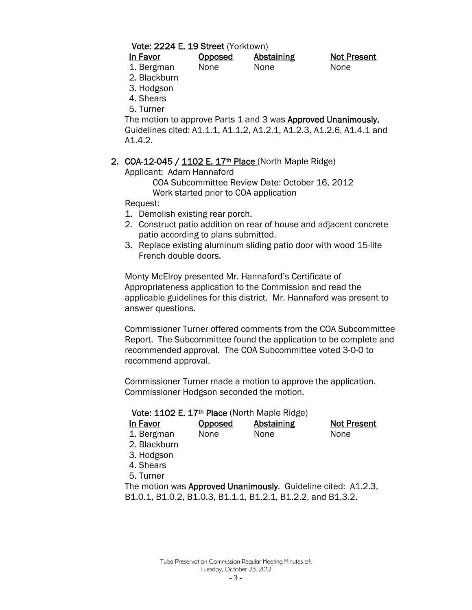#### Vote: 2224 E. 19 Street (Yorktown)

| In Favor   | <b>Opposed</b> | Abstaining | <b>Not Present</b> |
|------------|----------------|------------|--------------------|
| 1. Bergman | None           | None       | None               |

2. Blackburn

- 3. Hodgson
- 4. Shears
- 5. Turner

The motion to approve Parts 1 and 3 was Approved Unanimously. Guidelines cited: A1.1.1, A1.1.2, A1.2.1, A1.2.3, A1.2.6, A1.4.1 and A1.4.2.

# 2. COA-12-045 / 1102 E. 17<sup>th</sup> Place (North Maple Ridge)

Applicant: Adam Hannaford

COA Subcommittee Review Date: October 16, 2012 Work started prior to COA application

Request:

- 1. Demolish existing rear porch.
- 2. Construct patio addition on rear of house and adjacent concrete patio according to plans submitted.
- 3. Replace existing aluminum sliding patio door with wood 15-lite French double doors.

Monty McElroy presented Mr. Hannaford's Certificate of Appropriateness application to the Commission and read the applicable guidelines for this district. Mr. Hannaford was present to answer questions.

Commissioner Turner offered comments from the COA Subcommittee Report. The Subcommittee found the application to be complete and recommended approval. The COA Subcommittee voted 3-0-0 to recommend approval.

Commissioner Turner made a motion to approve the application. Commissioner Hodgson seconded the motion.

#### Vote: 1102 E. 17<sup>th</sup> Place (North Maple Ridge)

| In Favor                                                      | Opposed | Abstaining | <b>Not Present</b> |  |  |  |
|---------------------------------------------------------------|---------|------------|--------------------|--|--|--|
| 1. Bergman                                                    | None    | None       | None               |  |  |  |
| 2. Blackburn                                                  |         |            |                    |  |  |  |
| 3. Hodgson                                                    |         |            |                    |  |  |  |
| 4. Shears                                                     |         |            |                    |  |  |  |
| 5. Turner                                                     |         |            |                    |  |  |  |
| The motion was Approved Unanimously. Guideline cited: A1.2.3, |         |            |                    |  |  |  |
| B1.0.1, B1.0.2, B1.0.3, B1.1.1, B1.2.1, B1.2.2, and B1.3.2.   |         |            |                    |  |  |  |
|                                                               |         |            |                    |  |  |  |